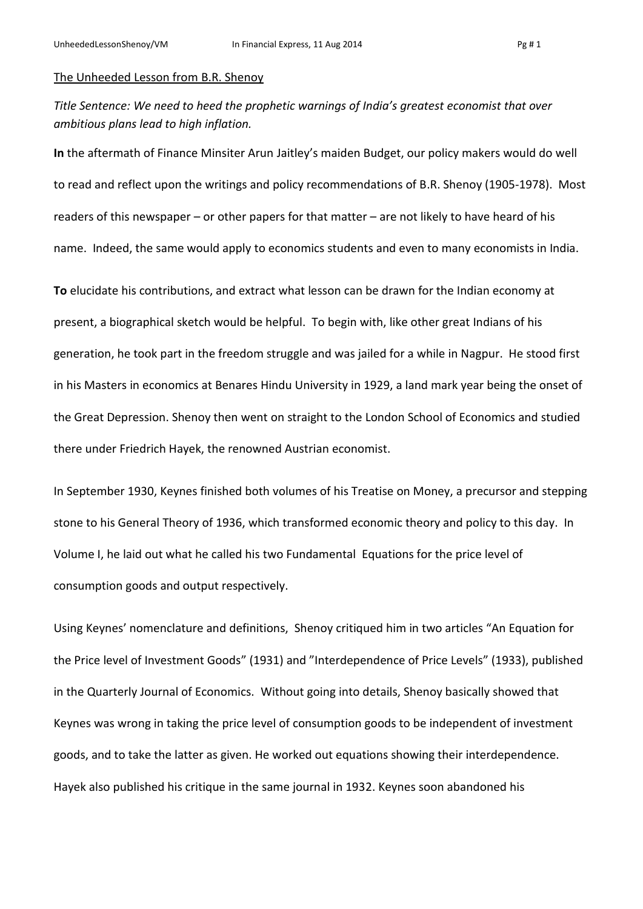## The Unheeded Lesson from B.R. Shenoy

*Title Sentence: We need to heed the prophetic warnings of India's greatest economist that over ambitious plans lead to high inflation.*

**In** the aftermath of Finance Minsiter Arun Jaitley's maiden Budget, our policy makers would do well to read and reflect upon the writings and policy recommendations of B.R. Shenoy (1905-1978). Most readers of this newspaper – or other papers for that matter – are not likely to have heard of his name. Indeed, the same would apply to economics students and even to many economists in India.

**To** elucidate his contributions, and extract what lesson can be drawn for the Indian economy at present, a biographical sketch would be helpful. To begin with, like other great Indians of his generation, he took part in the freedom struggle and was jailed for a while in Nagpur. He stood first in his Masters in economics at Benares Hindu University in 1929, a land mark year being the onset of the Great Depression. Shenoy then went on straight to the London School of Economics and studied there under Friedrich Hayek, the renowned Austrian economist.

In September 1930, Keynes finished both volumes of his Treatise on Money, a precursor and stepping stone to his General Theory of 1936, which transformed economic theory and policy to this day. In Volume I, he laid out what he called his two Fundamental Equations for the price level of consumption goods and output respectively.

Using Keynes' nomenclature and definitions, Shenoy critiqued him in two articles "An Equation for the Price level of Investment Goods" (1931) and "Interdependence of Price Levels" (1933), published in the Quarterly Journal of Economics. Without going into details, Shenoy basically showed that Keynes was wrong in taking the price level of consumption goods to be independent of investment goods, and to take the latter as given. He worked out equations showing their interdependence. Hayek also published his critique in the same journal in 1932. Keynes soon abandoned his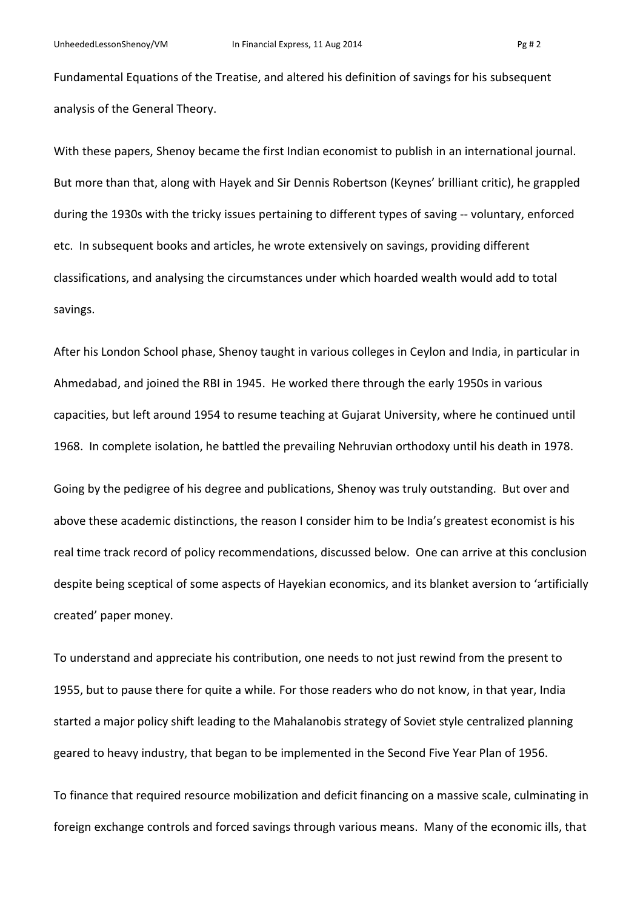Fundamental Equations of the Treatise, and altered his definition of savings for his subsequent analysis of the General Theory.

With these papers, Shenoy became the first Indian economist to publish in an international journal. But more than that, along with Hayek and Sir Dennis Robertson (Keynes' brilliant critic), he grappled during the 1930s with the tricky issues pertaining to different types of saving -- voluntary, enforced etc. In subsequent books and articles, he wrote extensively on savings, providing different classifications, and analysing the circumstances under which hoarded wealth would add to total savings.

After his London School phase, Shenoy taught in various colleges in Ceylon and India, in particular in Ahmedabad, and joined the RBI in 1945. He worked there through the early 1950s in various capacities, but left around 1954 to resume teaching at Gujarat University, where he continued until 1968. In complete isolation, he battled the prevailing Nehruvian orthodoxy until his death in 1978.

Going by the pedigree of his degree and publications, Shenoy was truly outstanding. But over and above these academic distinctions, the reason I consider him to be India's greatest economist is his real time track record of policy recommendations, discussed below. One can arrive at this conclusion despite being sceptical of some aspects of Hayekian economics, and its blanket aversion to 'artificially created' paper money.

To understand and appreciate his contribution, one needs to not just rewind from the present to 1955, but to pause there for quite a while. For those readers who do not know, in that year, India started a major policy shift leading to the Mahalanobis strategy of Soviet style centralized planning geared to heavy industry, that began to be implemented in the Second Five Year Plan of 1956.

To finance that required resource mobilization and deficit financing on a massive scale, culminating in foreign exchange controls and forced savings through various means. Many of the economic ills, that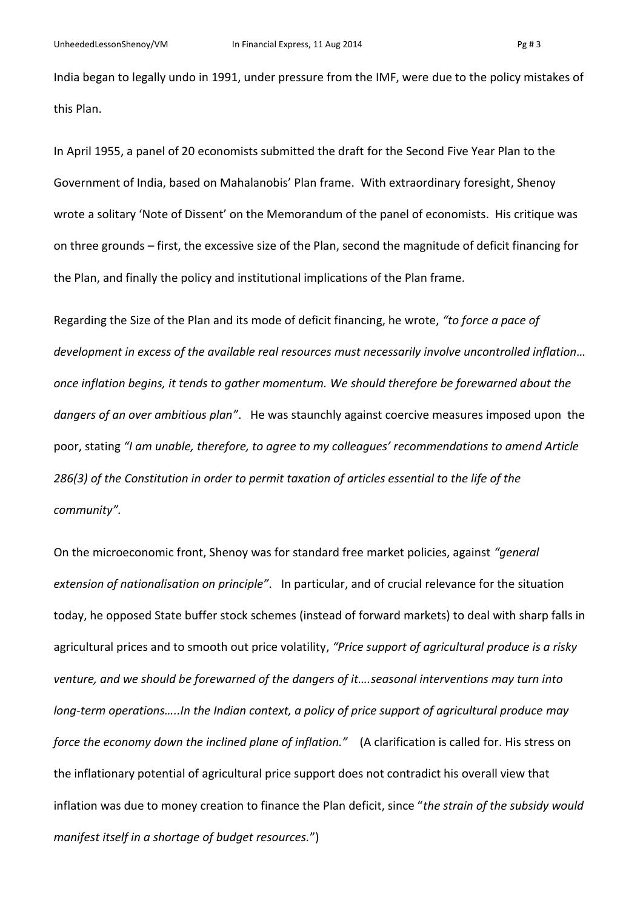India began to legally undo in 1991, under pressure from the IMF, were due to the policy mistakes of this Plan.

In April 1955, a panel of 20 economists submitted the draft for the Second Five Year Plan to the Government of India, based on Mahalanobis' Plan frame. With extraordinary foresight, Shenoy wrote a solitary 'Note of Dissent' on the Memorandum of the panel of economists. His critique was on three grounds – first, the excessive size of the Plan, second the magnitude of deficit financing for the Plan, and finally the policy and institutional implications of the Plan frame.

Regarding the Size of the Plan and its mode of deficit financing, he wrote, *"to force a pace of development in excess of the available real resources must necessarily involve uncontrolled inflation… once inflation begins, it tends to gather momentum. We should therefore be forewarned about the dangers of an over ambitious plan"*. He was staunchly against coercive measures imposed upon the poor, stating *"I am unable, therefore, to agree to my colleagues' recommendations to amend Article 286(3) of the Constitution in order to permit taxation of articles essential to the life of the community".* 

On the microeconomic front, Shenoy was for standard free market policies, against *"general extension of nationalisation on principle"*. In particular, and of crucial relevance for the situation today, he opposed State buffer stock schemes (instead of forward markets) to deal with sharp falls in agricultural prices and to smooth out price volatility, *"Price support of agricultural produce is a risky venture, and we should be forewarned of the dangers of it….seasonal interventions may turn into long-term operations…..In the Indian context, a policy of price support of agricultural produce may force the economy down the inclined plane of inflation."* (A clarification is called for. His stress on the inflationary potential of agricultural price support does not contradict his overall view that inflation was due to money creation to finance the Plan deficit, since "*the strain of the subsidy would manifest itself in a shortage of budget resources.*")